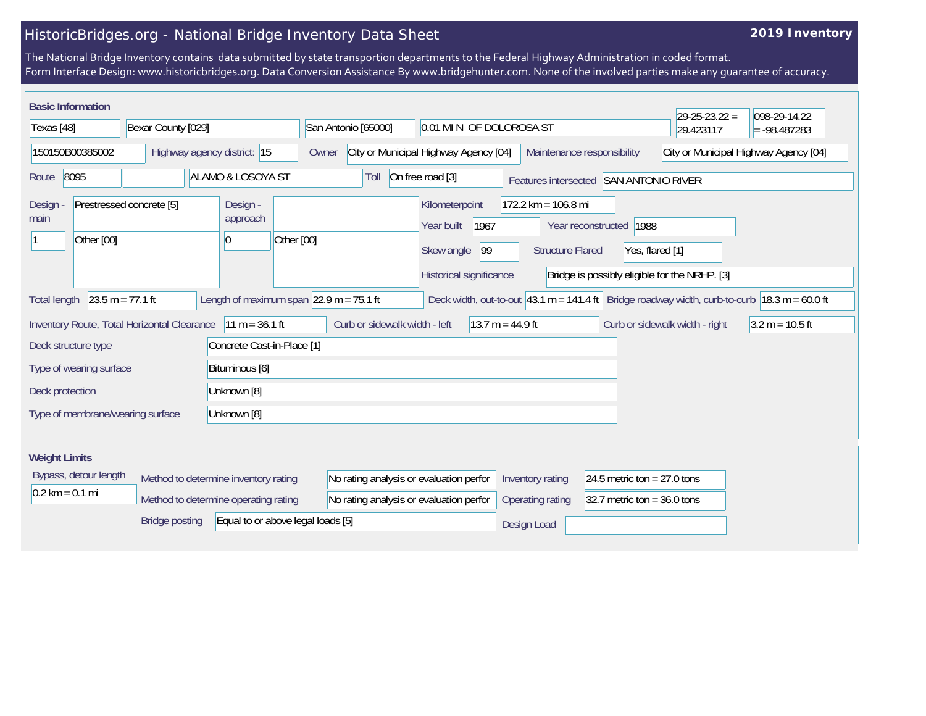## HistoricBridges.org - National Bridge Inventory Data Sheet

## **2019 Inventory**

The National Bridge Inventory contains data submitted by state transportion departments to the Federal Highway Administration in coded format. Form Interface Design: www.historicbridges.org. Data Conversion Assistance By www.bridgehunter.com. None of the involved parties make any guarantee of accuracy.

| <b>Basic Information</b>                                   |                          |                                                                              |                                                                                    |                                                                                                                  |                                                  |                                                                | $29 - 25 - 23.22 =$                           | 098-29-14.22                          |
|------------------------------------------------------------|--------------------------|------------------------------------------------------------------------------|------------------------------------------------------------------------------------|------------------------------------------------------------------------------------------------------------------|--------------------------------------------------|----------------------------------------------------------------|-----------------------------------------------|---------------------------------------|
| Texas [48]                                                 | Bexar County [029]       |                                                                              | San Antonio [65000]                                                                | 0.01 MIN OF DOLOROSA ST                                                                                          |                                                  |                                                                | 29.423117                                     | $= -98.487283$                        |
| 150150B00385002                                            |                          | Highway agency district: 15                                                  | Owner                                                                              | City or Municipal Highway Agency [04]                                                                            | Maintenance responsibility                       |                                                                |                                               | City or Municipal Highway Agency [04] |
| 8095<br>Route                                              |                          | ALAMO & LOSOYA ST                                                            | Toll                                                                               | On free road [3]                                                                                                 |                                                  | Features intersected SAN ANTONIO RIVER                         |                                               |                                       |
| Design<br>main<br>Other [00]                               | Prestressed concrete [5] | Design -<br>approach<br>Other [00]<br> 0                                     |                                                                                    | Kilometerpoint<br>1967<br>Year built<br>99<br>Skew angle<br>Historical significance                              | $172.2$ km = 106.8 mi<br><b>Structure Flared</b> | Year reconstructed   1988<br>Yes, flared [1]                   | Bridge is possibly eligible for the NRHP. [3] |                                       |
| <b>Total length</b>                                        | $23.5 m = 77.1 ft$       | Length of maximum span $ 22.9 \text{ m} = 75.1 \text{ ft} $                  |                                                                                    | Deck width, out-to-out 43.1 m = 141.4 ft Bridge roadway width, curb-to-curb $ 18.3 \text{ m} = 60.0 \text{ ft} $ |                                                  |                                                                |                                               |                                       |
| Inventory Route, Total Horizontal Clearance                |                          | $11 m = 36.1 ft$                                                             | Curb or sidewalk width - left                                                      | $13.7 m = 44.9 ft$                                                                                               |                                                  |                                                                | Curb or sidewalk width - right                | $3.2 m = 10.5 ft$                     |
| Deck structure type                                        |                          | Concrete Cast-in-Place [1]                                                   |                                                                                    |                                                                                                                  |                                                  |                                                                |                                               |                                       |
| Type of wearing surface<br>Bituminous [6]                  |                          |                                                                              |                                                                                    |                                                                                                                  |                                                  |                                                                |                                               |                                       |
| Deck protection                                            |                          | Unknown [8]                                                                  |                                                                                    |                                                                                                                  |                                                  |                                                                |                                               |                                       |
| Type of membrane/wearing surface                           |                          | Unknown [8]                                                                  |                                                                                    |                                                                                                                  |                                                  |                                                                |                                               |                                       |
| <b>Weight Limits</b>                                       |                          |                                                                              |                                                                                    |                                                                                                                  |                                                  |                                                                |                                               |                                       |
| Bypass, detour length<br>$0.2 \text{ km} = 0.1 \text{ mi}$ |                          | Method to determine inventory rating<br>Method to determine operating rating | No rating analysis or evaluation perfor<br>No rating analysis or evaluation perfor |                                                                                                                  | Inventory rating<br>Operating rating             | 24.5 metric ton = $27.0$ tons<br>32.7 metric ton = $36.0$ tons |                                               |                                       |
|                                                            | <b>Bridge posting</b>    | Equal to or above legal loads [5]                                            |                                                                                    |                                                                                                                  | Design Load                                      |                                                                |                                               |                                       |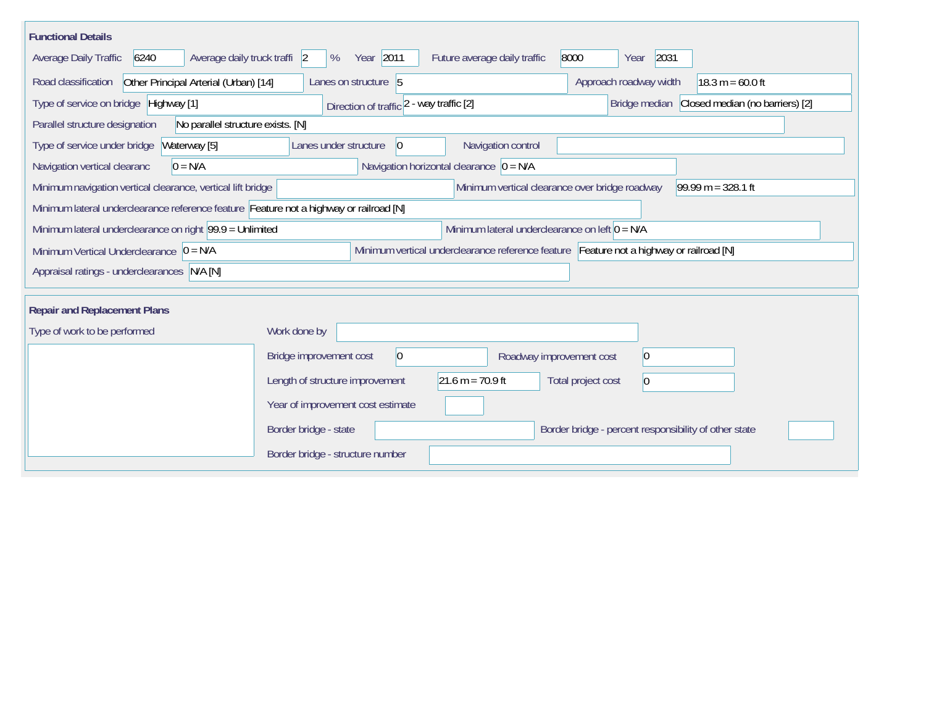| <b>Functional Details</b>                                                                                                              |                                                                                                              |                              |                                                       |                                               |  |  |  |  |
|----------------------------------------------------------------------------------------------------------------------------------------|--------------------------------------------------------------------------------------------------------------|------------------------------|-------------------------------------------------------|-----------------------------------------------|--|--|--|--|
| 6240<br>Average daily truck traffi 2<br>Average Daily Traffic                                                                          | Year 2011<br>%                                                                                               | Future average daily traffic | 8000<br>2031<br>Year                                  |                                               |  |  |  |  |
| Other Principal Arterial (Urban) [14]<br>Road classification                                                                           | Lanes on structure 5                                                                                         |                              | Approach roadway width                                | $18.3 m = 60.0 ft$                            |  |  |  |  |
| Type of service on bridge Highway [1]                                                                                                  | Direction of traffic 2 - way traffic [2]                                                                     |                              |                                                       | Bridge median Closed median (no barriers) [2] |  |  |  |  |
| Parallel structure designation<br>No parallel structure exists. [N]                                                                    |                                                                                                              |                              |                                                       |                                               |  |  |  |  |
| Type of service under bridge<br>Waterway [5]                                                                                           | Lanes under structure<br>$\vert 0 \vert$                                                                     | Navigation control           |                                                       |                                               |  |  |  |  |
| $0 = N/A$<br>Navigation vertical clearanc                                                                                              | Navigation horizontal clearance $ 0 = N/A $                                                                  |                              |                                                       |                                               |  |  |  |  |
| Minimum vertical clearance over bridge roadway<br>Minimum navigation vertical clearance, vertical lift bridge<br>$99.99 m = 328.1 ft$  |                                                                                                              |                              |                                                       |                                               |  |  |  |  |
| Minimum lateral underclearance reference feature Feature not a highway or railroad [N]                                                 |                                                                                                              |                              |                                                       |                                               |  |  |  |  |
|                                                                                                                                        | Minimum lateral underclearance on right 99.9 = Unlimited<br>Minimum lateral underclearance on left $0 = N/A$ |                              |                                                       |                                               |  |  |  |  |
| Minimum vertical underclearance reference feature Feature not a highway or railroad [N]<br>Minimum Vertical Underclearance $ 0 = N/A $ |                                                                                                              |                              |                                                       |                                               |  |  |  |  |
| Appraisal ratings - underclearances N/A [N]                                                                                            |                                                                                                              |                              |                                                       |                                               |  |  |  |  |
|                                                                                                                                        |                                                                                                              |                              |                                                       |                                               |  |  |  |  |
| <b>Repair and Replacement Plans</b>                                                                                                    |                                                                                                              |                              |                                                       |                                               |  |  |  |  |
| Type of work to be performed                                                                                                           | Work done by                                                                                                 |                              |                                                       |                                               |  |  |  |  |
|                                                                                                                                        | $ 0\rangle$<br>Bridge improvement cost                                                                       | Roadway improvement cost     | 0                                                     |                                               |  |  |  |  |
|                                                                                                                                        | $21.6 m = 70.9 ft$<br>Length of structure improvement                                                        |                              | Total project cost<br>$\vert 0 \vert$                 |                                               |  |  |  |  |
|                                                                                                                                        | Year of improvement cost estimate                                                                            |                              |                                                       |                                               |  |  |  |  |
|                                                                                                                                        | Border bridge - state                                                                                        |                              | Border bridge - percent responsibility of other state |                                               |  |  |  |  |
|                                                                                                                                        | Border bridge - structure number                                                                             |                              |                                                       |                                               |  |  |  |  |